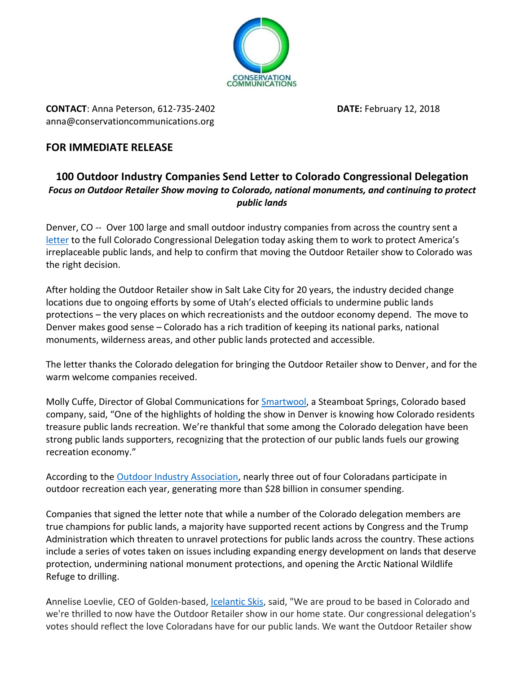

**CONTACT**: Anna Peterson, 612-735-2402 **DATE:** February 12, 2018 [anna@conservationcommunications.org](mailto:anna@conservationcommunications.org)

## **FOR IMMEDIATE RELEASE**

## **100 Outdoor Industry Companies Send Letter to Colorado Congressional Delegation** *Focus on Outdoor Retailer Show moving to Colorado, national monuments, and continuing to protect public lands*

Denver, CO -- Over 100 large and small outdoor industry companies from across the country sent a [letter](https://6329740-799114535315656400.preview.editmysite.com/uploads/6/3/2/9/6329740/national_outdoor_companies_letter_on_public_lands_and_monuments_to_colorado_congressional_delegation_2.12.18.pdf) to the full Colorado Congressional Delegation today asking them to work to protect America's irreplaceable public lands, and help to confirm that moving the Outdoor Retailer show to Colorado was the right decision.

After holding the Outdoor Retailer show in Salt Lake City for 20 years, the industry decided change locations due to ongoing efforts by some of Utah's elected officials to undermine public lands protections – the very places on which recreationists and the outdoor economy depend. The move to Denver makes good sense – Colorado has a rich tradition of keeping its national parks, national monuments, wilderness areas, and other public lands protected and accessible.

The letter thanks the Colorado delegation for bringing the Outdoor Retailer show to Denver, and for the warm welcome companies received.

Molly Cuffe, Director of Global Communications for [Smartwool,](https://www.smartwool.com/) a Steamboat Springs, Colorado based company, said, "One of the highlights of holding the show in Denver is knowing how Colorado residents treasure public lands recreation. We're thankful that some among the Colorado delegation have been strong public lands supporters, recognizing that the protection of our public lands fuels our growing recreation economy."

According to the [Outdoor Industry Association,](https://outdoorindustry.org/) nearly three out of four Coloradans participate in outdoor recreation each year, generating more than \$28 billion in consumer spending.

Companies that signed the letter note that while a number of the Colorado delegation members are true champions for public lands, a majority have supported recent actions by Congress and the Trump Administration which threaten to unravel protections for public lands across the country. These actions include a series of votes taken on issues including expanding energy development on lands that deserve protection, undermining national monument protections, and opening the Arctic National Wildlife Refuge to drilling.

Annelise Loevlie, CEO of Golden-based[, Icelantic Skis,](https://www.icelanticskis.com/) said, "We are proud to be based in Colorado and we're thrilled to now have the Outdoor Retailer show in our home state. Our congressional delegation's votes should reflect the love Coloradans have for our public lands. We want the Outdoor Retailer show